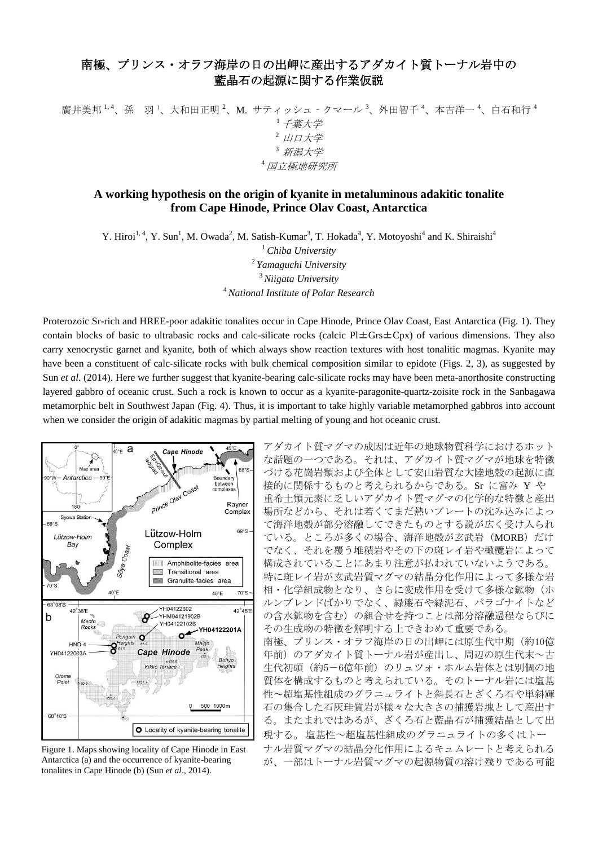## 南極、プリンス・オラフ海岸の日の出岬に産出するアダカイト質トーナル岩中の 藍晶石の起源に関する作業仮説

廣井美邦<sup>1,4</sup>、孫 羽<sup>1</sup>、大和田正明<sup>2</sup>、M. サティッシュ - クマール<sup>3</sup>、外田智千<sup>4</sup>、本吉洋一<sup>4</sup>、白石和行<sup>4</sup> <sup>1</sup>千葉大学  $2$  山口大学 <sup>3</sup>新潟大学 <sup>4</sup>国立極地研究所

## **A working hypothesis on the origin of kyanite in metaluminous adakitic tonalite from Cape Hinode, Prince Olav Coast, Antarctica**

Y. Hiroi<sup>1, 4</sup>, Y. Sun<sup>1</sup>, M. Owada<sup>2</sup>, M. Satish-Kumar<sup>3</sup>, T. Hokada<sup>4</sup>, Y. Motoyoshi<sup>4</sup> and K. Shiraishi<sup>4</sup>

 *Chiba University Yamaguchi University Niigata University National Institute of Polar Research*

Proterozoic Sr-rich and HREE-poor adakitic tonalites occur in Cape Hinode, Prince Olav Coast, East Antarctica (Fig. 1). They contain blocks of basic to ultrabasic rocks and calc-silicate rocks (calcic Pl $\pm$ Grs $\pm$ Cpx) of various dimensions. They also carry xenocrystic garnet and kyanite, both of which always show reaction textures with host tonalitic magmas. Kyanite may have been a constituent of calc-silicate rocks with bulk chemical composition similar to epidote (Figs. 2, 3), as suggested by Sun *et al*. (2014). Here we further suggest that kyanite-bearing calc-silicate rocks may have been meta-anorthosite constructing layered gabbro of oceanic crust. Such a rock is known to occur as a kyanite-paragonite-quartz-zoisite rock in the Sanbagawa metamorphic belt in Southwest Japan (Fig. 4). Thus, it is important to take highly variable metamorphed gabbros into account when we consider the origin of adakitic magmas by partial melting of young and hot oceanic crust.



Figure 1. Maps showing locality of Cape Hinode in East Antarctica (a) and the occurrence of kyanite-bearing tonalites in Cape Hinode (b) (Sun *et al*., 2014).

アダカイト質マグマの成因は近年の地球物質科学におけるホット な話題の一つである。それは、アダカイト質マグマが地球を特徴 づける花崗岩類および全体として安山岩質な大陸地殻の起源に直 接的に関係するものと考えられるからである。Sr に富み Y や 重希土類元素に乏しいアダカイト質マグマの化学的な特徴と産出 場所などから、それは若くてまだ熱いプレートの沈み込みによっ て海洋地殻が部分溶融してできたものとする説が広く受け入られ ている。ところが多くの場合、海洋地殻が玄武岩(MORB)だけ でなく、それを覆う堆積岩やその下の斑レイ岩や橄欖岩によって 構成されていることにあまり注意が払われていないようである。 特に斑レイ岩が玄武岩質マグマの結晶分化作用によって多様な岩 相・化学組成物となり、さらに変成作用を受けて多様な鉱物(ホ ルンブレンドばかりでなく、緑簾石や緑泥石、パラゴナイトなど の含水鉱物を含む)の組合せを持つことは部分溶融過程ならびに その生成物の特徴を解明する上できわめて重要である。 南極、プリンス・オラフ海岸の日の出岬には原生代中期(約10億

年前)のアダカイト質トーナル岩が産出し、周辺の原生代末~古 生代初頭(約5-6億年前)のリュツォ・ホルム岩体とは別個の地 質体を構成するものと考えられている。そのトーナル岩には塩基 性~超塩基性組成のグラニュライトと斜長石とざくろ石や単斜輝 石の集合した石灰珪質岩が様々な大きさの捕獲岩塊として産出す る。またまれではあるが、ざくろ石と藍晶石が捕獲結晶として出 現する。塩基性~超塩基性組成のグラニュライトの多くはトー ナル岩質マグマの結晶分化作用によるキュムレートと考えられる が、一部はトーナル岩質マグマの起源物質の溶け残りである可能